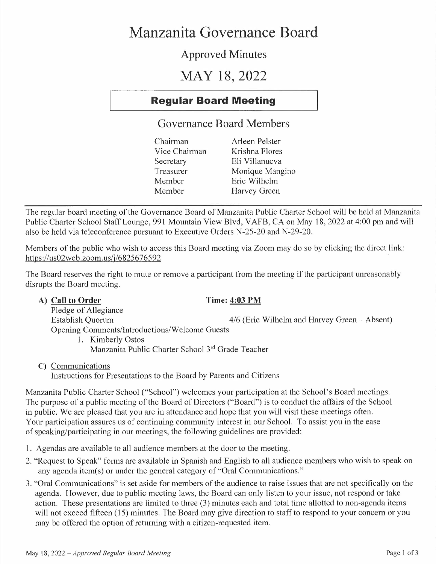# **Manzanita Governance Board**

## **Approved Minutes**

# **MAY 18, 2022**

## **Regular Board Meeting**

## **Governance Board Members**

| Chairman      | Arleen Pelster  |
|---------------|-----------------|
| Vice Chairman | Krishna Flores  |
| Secretary     | Eli Villanueva  |
| Treasurer     | Monique Mangino |
| Member        | Eric Wilhelm    |
| Member        | Harvey Green    |

The regular board meeting of the Governance Board of Manzanita Public Charter School will be held at Manzanita Public Charter School Staff Lounge, 991 Mountain View Blvd, V AFB, CA on May 18, 2022 at 4:00 pm and will also be held via teleconference pursuant to Executive Orders N-25-20 and N-29-20.

Members of the public who wish to access this Board meeting via Zoom may do so by clicking the direct link: https://us02web.zoom.us/j/6825676592 '

The Board reserves the right to mute or remove a participant from the meeting if the participant unreasonably disrupts the Board meeting.

## A) Call to Order Time: 4:03 PM

Pledge of Allegiance  $4/6$  (Eric Wilhelm and Harvey Green - Absent) Opening Comments/Introductions/Welcome Guests

- 1. Kimberly Ostos Manzanita Public Charter School 3 rd Grade Teacher
- **C)** Communications

Instructions for Presentations to the Board by Parents and Citizens

Manzanita Public Charter School ("School") welcomes your participation at the School's Board meetings. The purpose of a public meeting of the Board of Directors ("Board") is to conduct the affairs of the School in public. We are pleased that you are in attendance and hope that you will visit these meetings often. Your participation assures us of continuing community interest in our School. To assist you in the ease of speaking/participating in our meetings, the following guidelines are provided:

- **1.** Agendas are available to all audience members at the door to the meeting.
- 2. "Request to Speak" forms are available in Spanish and English to all audience members who wish to speak on any agenda item(s) or under the general category of "Oral Communications."
- 3. "Oral Communications" is set aside for members of the audience to raise issues that are not specifically on the agenda. However, due to public meeting laws, the Board can only listen to your issue, not respond or take action. These presentations are limited to three (3) minutes each and total time allotted to non-agenda items will not exceed fifteen (15) minutes. The Board may give direction to staff to respond to your concern or you may be offered the option of returning with a citizen-requested item.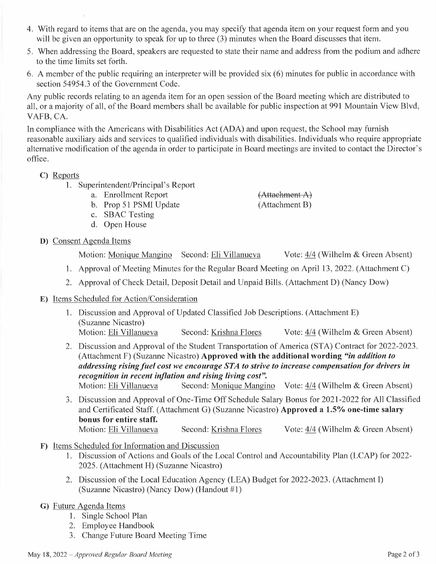- 4. With regard to items that are on the agenda, you may specify that agenda item on your request form and you will be given an opportunity to speak for up to three (3) minutes when the Board discusses that item.
- 5. When addressing the Board, speakers are requested to state their name and address from the podium and adhere to the time limits set forth.
- 6. A member of the public requiring an interpreter will be provided six (6) minutes for public in accordance with section 54954.3 of the Government Code.

Any public records relating to an agenda item for an open session of the Board meeting which are distributed to all, or a majority of all, of the Board members shall be available for public inspection at 991 Mountain View Blvd, VAFB, CA.

In compliance with the Americans with Disabilities Act (ADA) and upon request, the School may furnish reasonable auxiliary aids and services to qualified individuals with disabilities. Individuals who require appropriate alternative modification of the agenda in order to participate in Board meetings are invited to contact the Director's office.

## **C)** Reports

- **1.** Superintendent/Principal's Report
	- a. Enrollment Report
	- b. Prop 51 PSMI Update
	- c. SBAC Testing
	- d. Open House
- **D)** Consent Agenda Items

Motion: Monique Mangino Second: Eli Villanueva Vote: 4/4 (Wilhelm & Green Absent)

- 1. Approval of Meeting Minutes for the Regular Board Meeting on April 13, 2022. (Attachment C)
- 2. Approval of Check Detail, Deposit Detail and Unpaid Bills. (Attachment D) (Nancy Dow)

## **E)** Items Scheduled for Action/Consideration

- **1.** Discussion and Approval of Updated Classified Job Descriptions. (Attachment E) (Suzanne Nicastro) Motion: Eli Villanueva Second: Krishna Flores Vote: 4/4 (Wilhelm & Green Absent)
- 2. Discussion and Approval of the Student Transportation of America (STA) Contract for 2022-2023. (Attachment F) (Suzanne Nicastro) **Approved with the additional wording** *"in addition to**addressing rising fuel cost we encourage STA to strive to increase compensation for drivers in recognition in recent inflation and rising living cost".*

Motion: Eli Villanueva Second: Monique Mangino Vote: 4/4 (Wilhelm & Green Absent)

- 3. Discussion and Approval of One-Time Off Schedule Salary Bonus for 2021-2022 for All Classified and Certificated Staff. (Attachment G) (Suzanne Nicastro) **Approved a 1.5% one-time salary bonus for entire staff.**  Motion: Eli Villanueva Second: Krishna Flores Vote: 4/4 (Wilhelm & Green Absent)
- **F)** Items Scheduled for Information and Discussion
	- 1. Discussion of Actions and Goals of the Local Control and Accountability Plan (LCAP) for 2022- 2025. (Attachment **H)** (Suzanne Nicastro)
	- 2. Discussion of the Local Education Agency (LEA) Budget for 2022-2023. (Attachment I) (Suzanne Nicastro) (Nancy Dow) (Handout **#1)**
- **G)** Future Agenda Items
	- **1.** Single School Plan
	- 2. Employee Handbook
	- 3. Change Future Board Meeting Time
- May 18, 2022 *-Approved Regular Board Meeting* Page 2 of3

(Attachment A) (Attachment B)